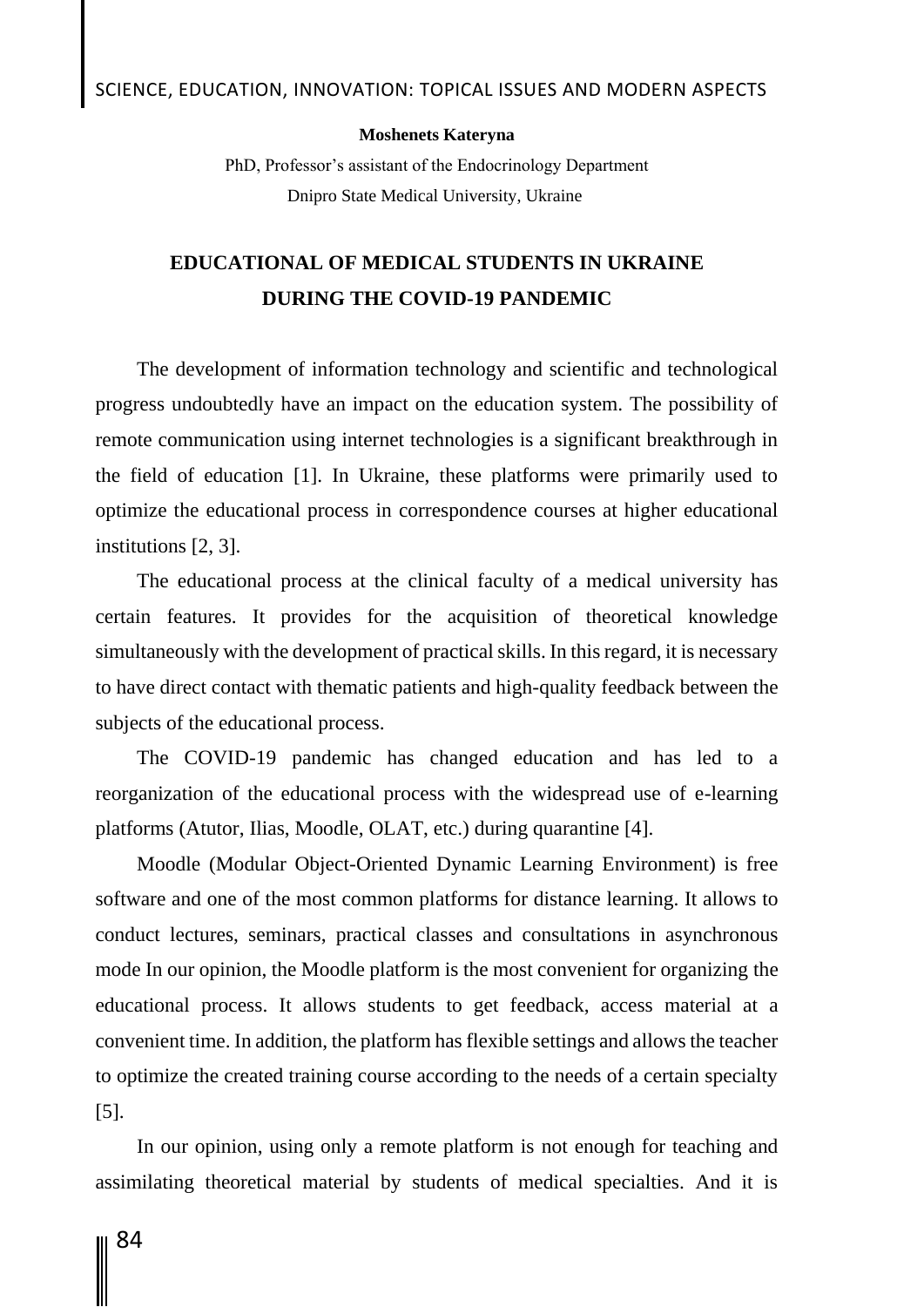#### **Moshenets Kateryna**

PhD, Professor's assistant of the Endocrinology Department Dnipro State Medical University, Ukraine

## **EDUCATIONAL OF MEDICAL STUDENTS IN UKRAINE DURING THE COVID-19 PANDEMIC**

The development of information technology and scientific and technological progress undoubtedly have an impact on the education system. The possibility of remote communication using internet technologies is a significant breakthrough in the field of education [1]. In Ukraine, these platforms were primarily used to optimize the educational process in correspondence courses at higher educational institutions [2, 3].

The educational process at the clinical faculty of a medical university has certain features. It provides for the acquisition of theoretical knowledge simultaneously with the development of practical skills. In this regard, it is necessary to have direct contact with thematic patients and high-quality feedback between the subjects of the educational process.

The COVID-19 pandemic has changed education and has led to a reorganization of the educational process with the widespread use of e-learning platforms (Atutor, Ilias, Moodle, OLAT, etc.) during quarantine [4].

Moodle (Modular Object-Oriented Dynamic Learning Environment) is free software and one of the most common platforms for distance learning. It allows to conduct lectures, seminars, practical classes and consultations in asynchronous mode In our opinion, the Moodle platform is the most convenient for organizing the educational process. It allows students to get feedback, access material at a convenient time. In addition, the platform has flexible settings and allows the teacher to optimize the created training course according to the needs of a certain specialty [5].

In our opinion, using only a remote platform is not enough for teaching and assimilating theoretical material by students of medical specialties. And it is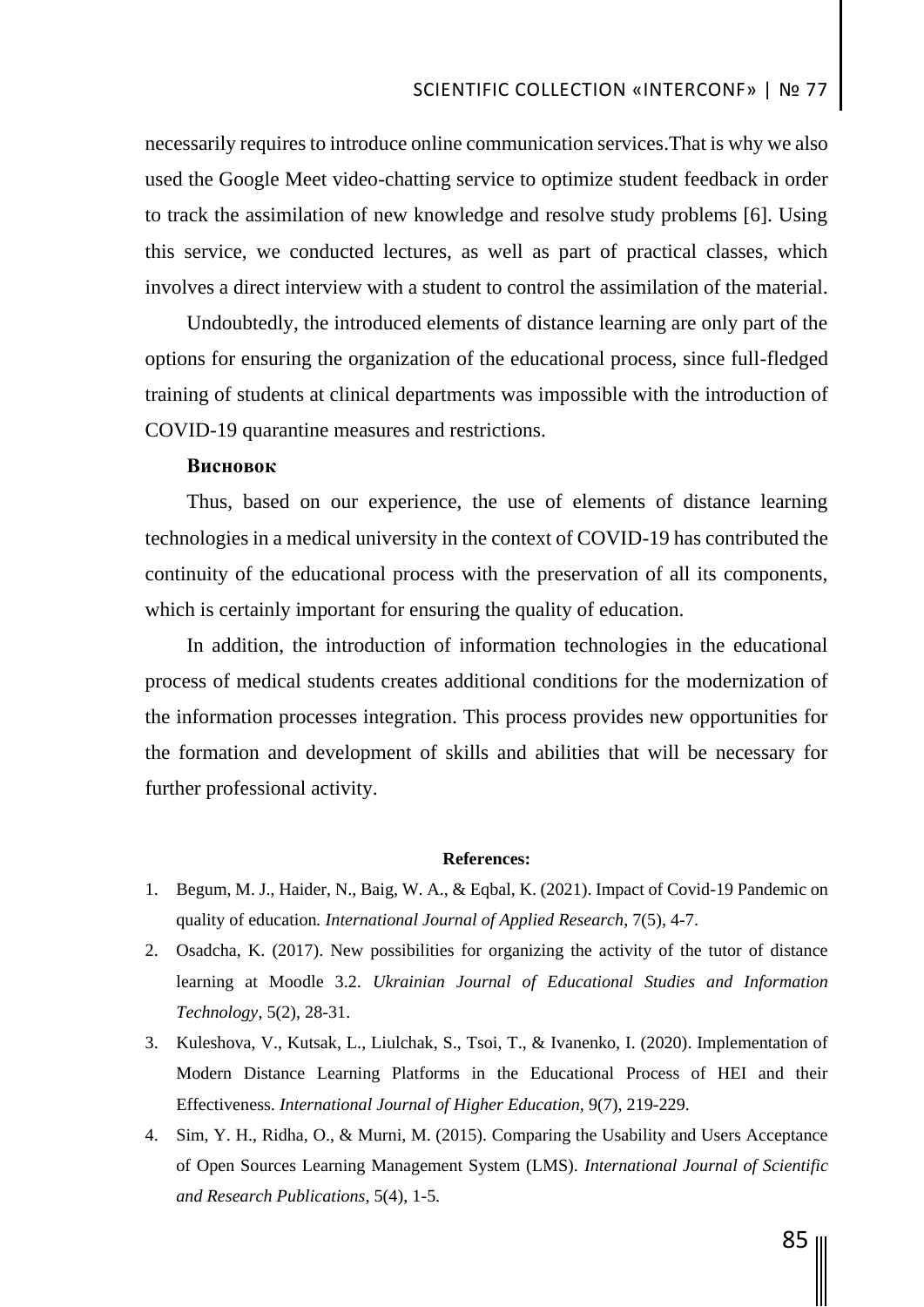necessarily requires to introduce online communication services.That is why we also used the Google Meet video-chatting service to optimize student feedback in order to track the assimilation of new knowledge and resolve study problems [6]. Using this service, we conducted lectures, as well as part of practical classes, which involves a direct interview with a student to control the assimilation of the material.

Undoubtedly, the introduced elements of distance learning are only part of the options for ensuring the organization of the educational process, since full-fledged training of students at clinical departments was impossible with the introduction of COVID-19 quarantine measures and restrictions.

## **Висновок**

Thus, based on our experience, the use of elements of distance learning technologies in a medical university in the context of COVID-19 has contributed the continuity of the educational process with the preservation of all its components, which is certainly important for ensuring the quality of education.

In addition, the introduction of information technologies in the educational process of medical students creates additional conditions for the modernization of the information processes integration. This process provides new opportunities for the formation and development of skills and abilities that will be necessary for further professional activity.

### **References:**

- 1. Begum, M. J., Haider, N., Baig, W. A., & Eqbal, K. (2021). Impact of Covid-19 Pandemic on quality of education*. International Journal of Applied Research*, 7(5), 4-7.
- 2. Osadcha, K. (2017). New possibilities for organizing the activity of the tutor of distance learning at Moodle 3.2. *Ukrainian Journal of Educational Studies and Information Technology*, 5(2), 28-31.
- 3. Kuleshova, V., Kutsak, L., Liulchak, S., Tsoi, T., & Ivanenko, I. (2020). Implementation of Modern Distance Learning Platforms in the Educational Process of HEI and their Effectiveness. *International Journal of Higher Education,* 9(7), 219-229.
- 4. Sim, Y. H., Ridha, O., & Murni, M. (2015). Comparing the Usability and Users Acceptance of Open Sources Learning Management System (LMS). *International Journal of Scientific and Research Publications*, 5(4), 1-5.